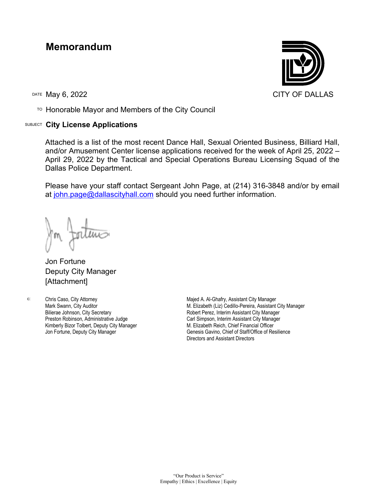## **Memorandum**

TO Honorable Mayor and Members of the City Council

## SUBJECT **City License Applications**



Attached is a list of the most recent Dance Hall, Sexual Oriented Business, Billiard Hall, and/or Amusement Center license applications received for the week of April 25, 2022 – April 29, 2022 by the Tactical and Special Operations Bureau Licensing Squad of the Dallas Police Department.

Please have your staff contact Sergeant John Page, at (214) 316-3848 and/or by email at [john.page@dallascityhall.com](mailto:john.page@dallascityhall.com) should you need further information.

Jon Fortune Deputy City Manager [Attachment]

c: Chris Caso, City Attorney Mark Swann, City Auditor Bilierae Johnson, City Secretary Preston Robinson, Administrative Judge Kimberly Bizor Tolbert, Deputy City Manager Jon Fortune, Deputy City Manager

Majed A. Al-Ghafry, Assistant City Manager M. Elizabeth (Liz) Cedillo-Pereira, Assistant City Manager Robert Perez, Interim Assistant City Manager Carl Simpson, Interim Assistant City Manager M. Elizabeth Reich, Chief Financial Officer Genesis Gavino, Chief of Staff/Office of Resilience Directors and Assistant Directors